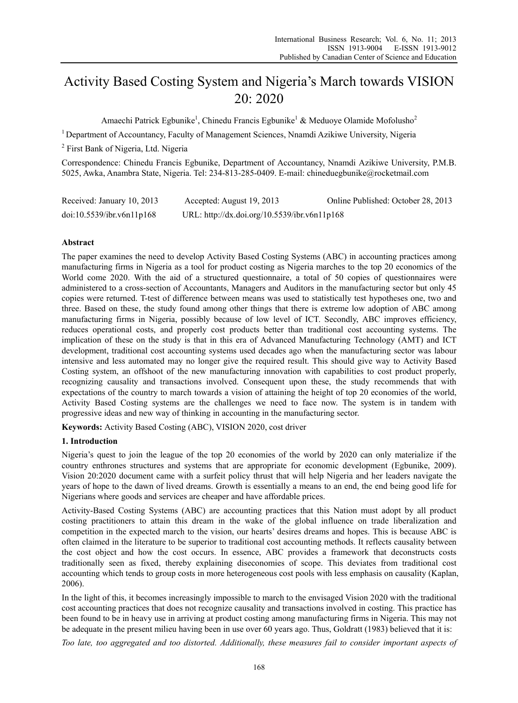# Activity Based Costing System and Nigeria's March towards VISION 20: 2020

Amaechi Patrick Egbunike<sup>1</sup>, Chinedu Francis Egbunike<sup>1</sup> & Meduoye Olamide Mofolusho<sup>2</sup>

<sup>1</sup> Department of Accountancy, Faculty of Management Sciences, Nnamdi Azikiwe University, Nigeria

<sup>2</sup> First Bank of Nigeria, Ltd. Nigeria

Correspondence: Chinedu Francis Egbunike, Department of Accountancy, Nnamdi Azikiwe University, P.M.B. 5025, Awka, Anambra State, Nigeria. Tel: 234-813-285-0409. E-mail: chineduegbunike@rocketmail.com

| Received: January 10, 2013 | Accepted: August 19, 2013                    | Online Published: October 28, 2013 |
|----------------------------|----------------------------------------------|------------------------------------|
| doi:10.5539/ibr.v6n11p168  | URL: http://dx.doi.org/10.5539/ibr.v6n11p168 |                                    |

# **Abstract**

The paper examines the need to develop Activity Based Costing Systems (ABC) in accounting practices among manufacturing firms in Nigeria as a tool for product costing as Nigeria marches to the top 20 economics of the World come 2020. With the aid of a structured questionnaire, a total of 50 copies of questionnaires were administered to a cross-section of Accountants, Managers and Auditors in the manufacturing sector but only 45 copies were returned. T-test of difference between means was used to statistically test hypotheses one, two and three. Based on these, the study found among other things that there is extreme low adoption of ABC among manufacturing firms in Nigeria, possibly because of low level of ICT. Secondly, ABC improves efficiency, reduces operational costs, and properly cost products better than traditional cost accounting systems. The implication of these on the study is that in this era of Advanced Manufacturing Technology (AMT) and ICT development, traditional cost accounting systems used decades ago when the manufacturing sector was labour intensive and less automated may no longer give the required result. This should give way to Activity Based Costing system, an offshoot of the new manufacturing innovation with capabilities to cost product properly, recognizing causality and transactions involved. Consequent upon these, the study recommends that with expectations of the country to march towards a vision of attaining the height of top 20 economies of the world, Activity Based Costing systems are the challenges we need to face now. The system is in tandem with progressive ideas and new way of thinking in accounting in the manufacturing sector.

**Keywords:** Activity Based Costing (ABC), VISION 2020, cost driver

#### **1. Introduction**

Nigeria's quest to join the league of the top 20 economies of the world by 2020 can only materialize if the country enthrones structures and systems that are appropriate for economic development (Egbunike, 2009). Vision 20:2020 document came with a surfeit policy thrust that will help Nigeria and her leaders navigate the years of hope to the dawn of lived dreams. Growth is essentially a means to an end, the end being good life for Nigerians where goods and services are cheaper and have affordable prices.

Activity-Based Costing Systems (ABC) are accounting practices that this Nation must adopt by all product costing practitioners to attain this dream in the wake of the global influence on trade liberalization and competition in the expected march to the vision, our hearts' desires dreams and hopes. This is because ABC is often claimed in the literature to be superior to traditional cost accounting methods. It reflects causality between the cost object and how the cost occurs. In essence, ABC provides a framework that deconstructs costs traditionally seen as fixed, thereby explaining diseconomies of scope. This deviates from traditional cost accounting which tends to group costs in more heterogeneous cost pools with less emphasis on causality (Kaplan, 2006).

In the light of this, it becomes increasingly impossible to march to the envisaged Vision 2020 with the traditional cost accounting practices that does not recognize causality and transactions involved in costing. This practice has been found to be in heavy use in arriving at product costing among manufacturing firms in Nigeria. This may not be adequate in the present milieu having been in use over 60 years ago. Thus, Goldratt (1983) believed that it is:

*Too late, too aggregated and too distorted. Additionally, these measures fail to consider important aspects of*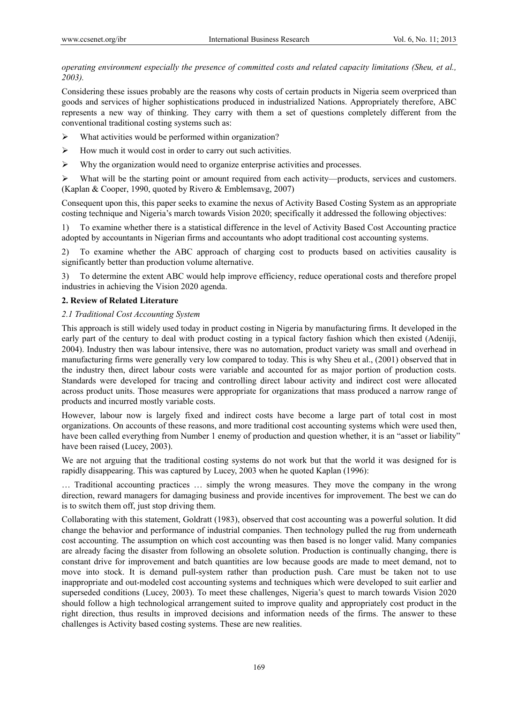*operating environment especially the presence of committed costs and related capacity limitations (Sheu, et al., 2003).* 

Considering these issues probably are the reasons why costs of certain products in Nigeria seem overpriced than goods and services of higher sophistications produced in industrialized Nations. Appropriately therefore, ABC represents a new way of thinking. They carry with them a set of questions completely different from the conventional traditional costing systems such as:

- $\triangleright$  What activities would be performed within organization?
- $\triangleright$  How much it would cost in order to carry out such activities.
- $\triangleright$  Why the organization would need to organize enterprise activities and processes.

 $\triangleright$  What will be the starting point or amount required from each activity—products, services and customers. (Kaplan & Cooper, 1990, quoted by Rivero & Emblemsavg, 2007)

Consequent upon this, this paper seeks to examine the nexus of Activity Based Costing System as an appropriate costing technique and Nigeria's march towards Vision 2020; specifically it addressed the following objectives:

1) To examine whether there is a statistical difference in the level of Activity Based Cost Accounting practice adopted by accountants in Nigerian firms and accountants who adopt traditional cost accounting systems.

2) To examine whether the ABC approach of charging cost to products based on activities causality is significantly better than production volume alternative.

3) To determine the extent ABC would help improve efficiency, reduce operational costs and therefore propel industries in achieving the Vision 2020 agenda.

#### **2. Review of Related Literature**

#### *2.1 Traditional Cost Accounting System*

This approach is still widely used today in product costing in Nigeria by manufacturing firms. It developed in the early part of the century to deal with product costing in a typical factory fashion which then existed (Adeniji, 2004). Industry then was labour intensive, there was no automation, product variety was small and overhead in manufacturing firms were generally very low compared to today. This is why Sheu et al., (2001) observed that in the industry then, direct labour costs were variable and accounted for as major portion of production costs. Standards were developed for tracing and controlling direct labour activity and indirect cost were allocated across product units. Those measures were appropriate for organizations that mass produced a narrow range of products and incurred mostly variable costs.

However, labour now is largely fixed and indirect costs have become a large part of total cost in most organizations. On accounts of these reasons, and more traditional cost accounting systems which were used then, have been called everything from Number 1 enemy of production and question whether, it is an "asset or liability" have been raised (Lucey, 2003).

We are not arguing that the traditional costing systems do not work but that the world it was designed for is rapidly disappearing. This was captured by Lucey, 2003 when he quoted Kaplan (1996):

… Traditional accounting practices … simply the wrong measures. They move the company in the wrong direction, reward managers for damaging business and provide incentives for improvement. The best we can do is to switch them off, just stop driving them.

Collaborating with this statement, Goldratt (1983), observed that cost accounting was a powerful solution. It did change the behavior and performance of industrial companies. Then technology pulled the rug from underneath cost accounting. The assumption on which cost accounting was then based is no longer valid. Many companies are already facing the disaster from following an obsolete solution. Production is continually changing, there is constant drive for improvement and batch quantities are low because goods are made to meet demand, not to move into stock. It is demand pull-system rather than production push. Care must be taken not to use inappropriate and out-modeled cost accounting systems and techniques which were developed to suit earlier and superseded conditions (Lucey, 2003). To meet these challenges, Nigeria's quest to march towards Vision 2020 should follow a high technological arrangement suited to improve quality and appropriately cost product in the right direction, thus results in improved decisions and information needs of the firms. The answer to these challenges is Activity based costing systems. These are new realities.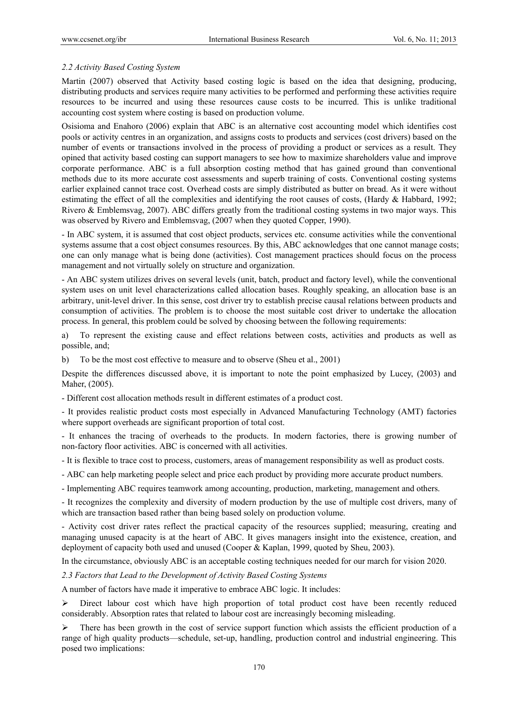### *2.2 Activity Based Costing System*

Martin (2007) observed that Activity based costing logic is based on the idea that designing, producing, distributing products and services require many activities to be performed and performing these activities require resources to be incurred and using these resources cause costs to be incurred. This is unlike traditional accounting cost system where costing is based on production volume.

Osisioma and Enahoro (2006) explain that ABC is an alternative cost accounting model which identifies cost pools or activity centres in an organization, and assigns costs to products and services (cost drivers) based on the number of events or transactions involved in the process of providing a product or services as a result. They opined that activity based costing can support managers to see how to maximize shareholders value and improve corporate performance. ABC is a full absorption costing method that has gained ground than conventional methods due to its more accurate cost assessments and superb training of costs. Conventional costing systems earlier explained cannot trace cost. Overhead costs are simply distributed as butter on bread. As it were without estimating the effect of all the complexities and identifying the root causes of costs, (Hardy & Habbard, 1992; Rivero & Emblemsvag, 2007). ABC differs greatly from the traditional costing systems in two major ways. This was observed by Rivero and Emblemsvag, (2007 when they quoted Copper, 1990).

- In ABC system, it is assumed that cost object products, services etc. consume activities while the conventional systems assume that a cost object consumes resources. By this, ABC acknowledges that one cannot manage costs; one can only manage what is being done (activities). Cost management practices should focus on the process management and not virtually solely on structure and organization.

- An ABC system utilizes drives on several levels (unit, batch, product and factory level), while the conventional system uses on unit level characterizations called allocation bases. Roughly speaking, an allocation base is an arbitrary, unit-level driver. In this sense, cost driver try to establish precise causal relations between products and consumption of activities. The problem is to choose the most suitable cost driver to undertake the allocation process. In general, this problem could be solved by choosing between the following requirements:

a) To represent the existing cause and effect relations between costs, activities and products as well as possible, and;

b) To be the most cost effective to measure and to observe (Sheu et al., 2001)

Despite the differences discussed above, it is important to note the point emphasized by Lucey, (2003) and Maher, (2005).

- Different cost allocation methods result in different estimates of a product cost.

- It provides realistic product costs most especially in Advanced Manufacturing Technology (AMT) factories where support overheads are significant proportion of total cost.

- It enhances the tracing of overheads to the products. In modern factories, there is growing number of non-factory floor activities. ABC is concerned with all activities.

- It is flexible to trace cost to process, customers, areas of management responsibility as well as product costs.

- ABC can help marketing people select and price each product by providing more accurate product numbers.

- Implementing ABC requires teamwork among accounting, production, marketing, management and others.

- It recognizes the complexity and diversity of modern production by the use of multiple cost drivers, many of which are transaction based rather than being based solely on production volume.

- Activity cost driver rates reflect the practical capacity of the resources supplied; measuring, creating and managing unused capacity is at the heart of ABC. It gives managers insight into the existence, creation, and deployment of capacity both used and unused (Cooper & Kaplan, 1999, quoted by Sheu, 2003).

In the circumstance, obviously ABC is an acceptable costing techniques needed for our march for vision 2020.

*2.3 Factors that Lead to the Development of Activity Based Costing Systems* 

A number of factors have made it imperative to embrace ABC logic. It includes:

 $\triangleright$  Direct labour cost which have high proportion of total product cost have been recently reduced considerably. Absorption rates that related to labour cost are increasingly becoming misleading.

 There has been growth in the cost of service support function which assists the efficient production of a range of high quality products—schedule, set-up, handling, production control and industrial engineering. This posed two implications: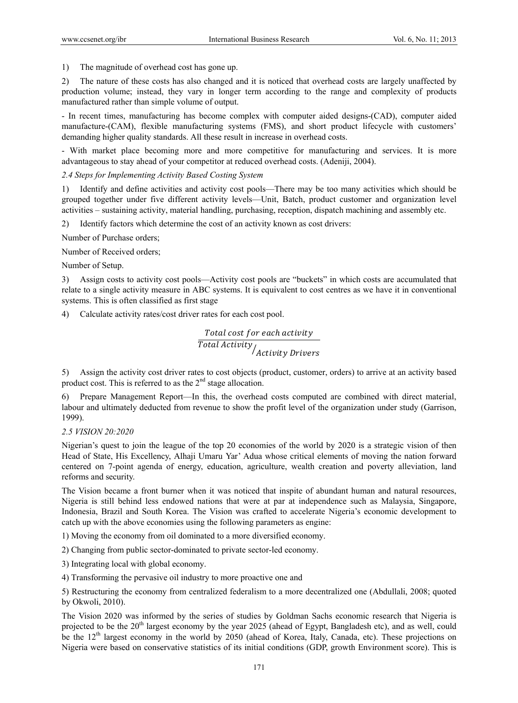1) The magnitude of overhead cost has gone up.

2) The nature of these costs has also changed and it is noticed that overhead costs are largely unaffected by production volume; instead, they vary in longer term according to the range and complexity of products manufactured rather than simple volume of output.

- In recent times, manufacturing has become complex with computer aided designs-(CAD), computer aided manufacture-(CAM), flexible manufacturing systems (FMS), and short product lifecycle with customers' demanding higher quality standards. All these result in increase in overhead costs.

- With market place becoming more and more competitive for manufacturing and services. It is more advantageous to stay ahead of your competitor at reduced overhead costs. (Adeniji, 2004).

*2.4 Steps for Implementing Activity Based Costing System* 

1) Identify and define activities and activity cost pools—There may be too many activities which should be grouped together under five different activity levels—Unit, Batch, product customer and organization level activities – sustaining activity, material handling, purchasing, reception, dispatch machining and assembly etc.

2) Identify factors which determine the cost of an activity known as cost drivers:

Number of Purchase orders;

Number of Received orders;

Number of Setup.

3) Assign costs to activity cost pools—Activity cost pools are "buckets" in which costs are accumulated that relate to a single activity measure in ABC systems. It is equivalent to cost centres as we have it in conventional systems. This is often classified as first stage

4) Calculate activity rates/cost driver rates for each cost pool.

Total cost for each activity Total Activity<br>Activity Drivers

5) Assign the activity cost driver rates to cost objects (product, customer, orders) to arrive at an activity based product cost. This is referred to as the  $2<sup>nd</sup>$  stage allocation.

6) Prepare Management Report—In this, the overhead costs computed are combined with direct material, labour and ultimately deducted from revenue to show the profit level of the organization under study (Garrison, 1999).

# *2.5 VISION 20:2020*

Nigerian's quest to join the league of the top 20 economies of the world by 2020 is a strategic vision of then Head of State, His Excellency, Alhaji Umaru Yar' Adua whose critical elements of moving the nation forward centered on 7-point agenda of energy, education, agriculture, wealth creation and poverty alleviation, land reforms and security.

The Vision became a front burner when it was noticed that inspite of abundant human and natural resources, Nigeria is still behind less endowed nations that were at par at independence such as Malaysia, Singapore, Indonesia, Brazil and South Korea. The Vision was crafted to accelerate Nigeria's economic development to catch up with the above economies using the following parameters as engine:

1) Moving the economy from oil dominated to a more diversified economy.

2) Changing from public sector-dominated to private sector-led economy.

3) Integrating local with global economy.

4) Transforming the pervasive oil industry to more proactive one and

5) Restructuring the economy from centralized federalism to a more decentralized one (Abdullali, 2008; quoted by Okwoli, 2010).

The Vision 2020 was informed by the series of studies by Goldman Sachs economic research that Nigeria is projected to be the 20<sup>th</sup> largest economy by the year 2025 (ahead of Egypt, Bangladesh etc), and as well, could be the 12<sup>th</sup> largest economy in the world by 2050 (ahead of Korea, Italy, Canada, etc). These projections on Nigeria were based on conservative statistics of its initial conditions (GDP, growth Environment score). This is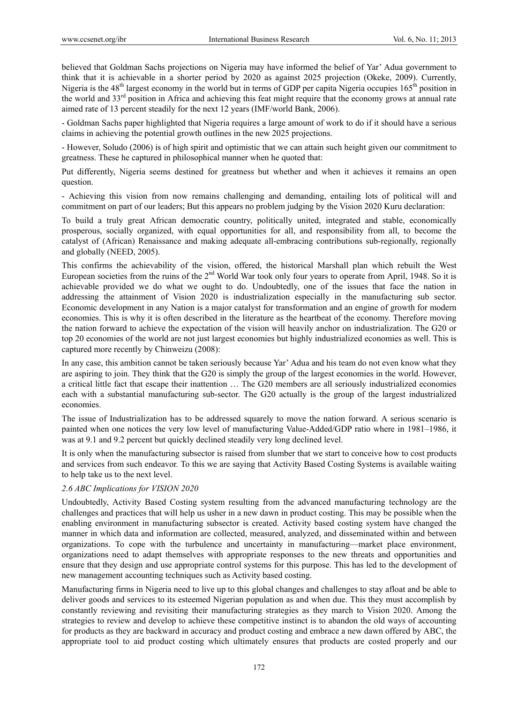believed that Goldman Sachs projections on Nigeria may have informed the belief of Yar' Adua government to think that it is achievable in a shorter period by 2020 as against 2025 projection (Okeke, 2009). Currently, Nigeria is the  $48<sup>th</sup>$  largest economy in the world but in terms of GDP per capita Nigeria occupies  $165<sup>th</sup>$  position in the world and 33rd position in Africa and achieving this feat might require that the economy grows at annual rate aimed rate of 13 percent steadily for the next 12 years (IMF/world Bank, 2006).

- Goldman Sachs paper highlighted that Nigeria requires a large amount of work to do if it should have a serious claims in achieving the potential growth outlines in the new 2025 projections.

- However, Soludo (2006) is of high spirit and optimistic that we can attain such height given our commitment to greatness. These he captured in philosophical manner when he quoted that:

Put differently, Nigeria seems destined for greatness but whether and when it achieves it remains an open question.

- Achieving this vision from now remains challenging and demanding, entailing lots of political will and commitment on part of our leaders; But this appears no problem judging by the Vision 2020 Kuru declaration:

To build a truly great African democratic country, politically united, integrated and stable, economically prosperous, socially organized, with equal opportunities for all, and responsibility from all, to become the catalyst of (African) Renaissance and making adequate all-embracing contributions sub-regionally, regionally and globally (NEED, 2005).

This confirms the achievability of the vision, offered, the historical Marshall plan which rebuilt the West European societies from the ruins of the  $2<sup>nd</sup>$  World War took only four years to operate from April, 1948. So it is achievable provided we do what we ought to do. Undoubtedly, one of the issues that face the nation in addressing the attainment of Vision 2020 is industrialization especially in the manufacturing sub sector. Economic development in any Nation is a major catalyst for transformation and an engine of growth for modern economies. This is why it is often described in the literature as the heartbeat of the economy. Therefore moving the nation forward to achieve the expectation of the vision will heavily anchor on industrialization. The G20 or top 20 economies of the world are not just largest economies but highly industrialized economies as well. This is captured more recently by Chinweizu (2008):

In any case, this ambition cannot be taken seriously because Yar' Adua and his team do not even know what they are aspiring to join. They think that the G20 is simply the group of the largest economies in the world. However, a critical little fact that escape their inattention … The G20 members are all seriously industrialized economies each with a substantial manufacturing sub-sector. The G20 actually is the group of the largest industrialized economies.

The issue of Industrialization has to be addressed squarely to move the nation forward. A serious scenario is painted when one notices the very low level of manufacturing Value-Added/GDP ratio where in 1981–1986, it was at 9.1 and 9.2 percent but quickly declined steadily very long declined level.

It is only when the manufacturing subsector is raised from slumber that we start to conceive how to cost products and services from such endeavor. To this we are saying that Activity Based Costing Systems is available waiting to help take us to the next level.

# *2.6 ABC Implications for VISION 2020*

Undoubtedly, Activity Based Costing system resulting from the advanced manufacturing technology are the challenges and practices that will help us usher in a new dawn in product costing. This may be possible when the enabling environment in manufacturing subsector is created. Activity based costing system have changed the manner in which data and information are collected, measured, analyzed, and disseminated within and between organizations. To cope with the turbulence and uncertainty in manufacturing—market place environment, organizations need to adapt themselves with appropriate responses to the new threats and opportunities and ensure that they design and use appropriate control systems for this purpose. This has led to the development of new management accounting techniques such as Activity based costing.

Manufacturing firms in Nigeria need to live up to this global changes and challenges to stay afloat and be able to deliver goods and services to its esteemed Nigerian population as and when due. This they must accomplish by constantly reviewing and revisiting their manufacturing strategies as they march to Vision 2020. Among the strategies to review and develop to achieve these competitive instinct is to abandon the old ways of accounting for products as they are backward in accuracy and product costing and embrace a new dawn offered by ABC, the appropriate tool to aid product costing which ultimately ensures that products are costed properly and our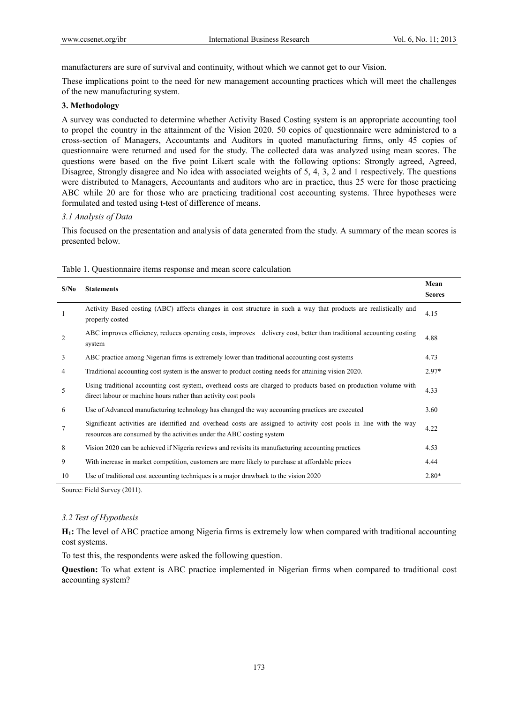manufacturers are sure of survival and continuity, without which we cannot get to our Vision.

These implications point to the need for new management accounting practices which will meet the challenges of the new manufacturing system.

### **3. Methodology**

A survey was conducted to determine whether Activity Based Costing system is an appropriate accounting tool to propel the country in the attainment of the Vision 2020. 50 copies of questionnaire were administered to a cross-section of Managers, Accountants and Auditors in quoted manufacturing firms, only 45 copies of questionnaire were returned and used for the study. The collected data was analyzed using mean scores. The questions were based on the five point Likert scale with the following options: Strongly agreed, Agreed, Disagree, Strongly disagree and No idea with associated weights of 5, 4, 3, 2 and 1 respectively. The questions were distributed to Managers, Accountants and auditors who are in practice, thus 25 were for those practicing ABC while 20 are for those who are practicing traditional cost accounting systems. Three hypotheses were formulated and tested using t-test of difference of means.

# *3.1 Analysis of Data*

This focused on the presentation and analysis of data generated from the study. A summary of the mean scores is presented below.

| S/No           | <b>Statements</b>                                                                                                                                                                          | Mean<br><b>Scores</b> |
|----------------|--------------------------------------------------------------------------------------------------------------------------------------------------------------------------------------------|-----------------------|
|                | Activity Based costing (ABC) affects changes in cost structure in such a way that products are realistically and<br>properly costed                                                        | 4.15                  |
| $\overline{2}$ | ABC improves efficiency, reduces operating costs, improves delivery cost, better than traditional accounting costing<br>system                                                             | 4.88                  |
| 3              | ABC practice among Nigerian firms is extremely lower than traditional accounting cost systems                                                                                              | 4.73                  |
| 4              | Traditional accounting cost system is the answer to product costing needs for attaining vision 2020.                                                                                       | $2.97*$               |
| 5              | Using traditional accounting cost system, overhead costs are charged to products based on production volume with<br>direct labour or machine hours rather than activity cost pools         | 4.33                  |
| 6              | Use of Advanced manufacturing technology has changed the way accounting practices are executed                                                                                             | 3.60                  |
| 7              | Significant activities are identified and overhead costs are assigned to activity cost pools in line with the way<br>resources are consumed by the activities under the ABC costing system | 4.22                  |
| 8              | Vision 2020 can be achieved if Nigeria reviews and revisits its manufacturing accounting practices                                                                                         | 4.53                  |
| 9              | With increase in market competition, customers are more likely to purchase at affordable prices                                                                                            | 4.44                  |
| 10             | Use of traditional cost accounting techniques is a major drawback to the vision 2020                                                                                                       | $2.80*$               |

#### Table 1. Questionnaire items response and mean score calculation

Source: Field Survey (2011).

# *3.2 Test of Hypothesis*

**H1:** The level of ABC practice among Nigeria firms is extremely low when compared with traditional accounting cost systems.

To test this, the respondents were asked the following question.

**Question:** To what extent is ABC practice implemented in Nigerian firms when compared to traditional cost accounting system?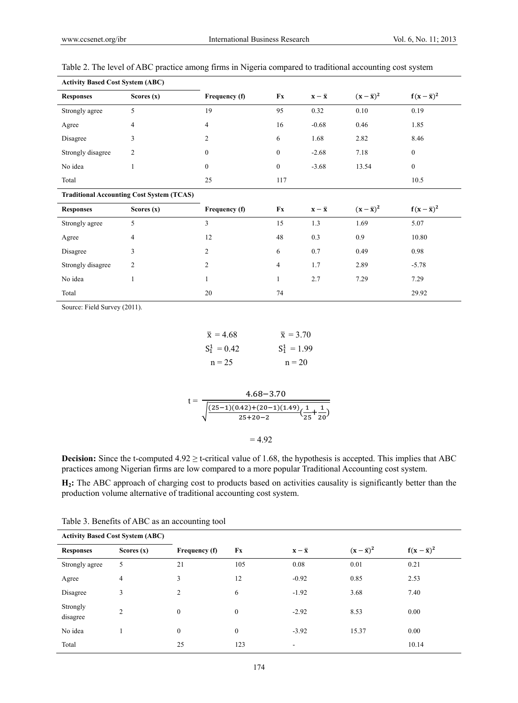| <b>Activity Based Cost System (ABC)</b> |                                                  |                |                         |                                      |                 |                  |
|-----------------------------------------|--------------------------------------------------|----------------|-------------------------|--------------------------------------|-----------------|------------------|
| <b>Responses</b>                        | Scores $(x)$                                     | Frequency (f)  | $\mathbf{F} \mathbf{x}$ | $\mathbf{x} - \overline{\mathbf{x}}$ | $(x-\bar{x})^2$ | $f(x-\bar{x})^2$ |
| Strongly agree                          | 5                                                | 19             | 95                      | 0.32                                 | 0.10            | 0.19             |
| Agree                                   | 4                                                | $\overline{4}$ | 16                      | $-0.68$                              | 0.46            | 1.85             |
| Disagree                                | 3                                                | $\overline{2}$ | 6                       | 1.68                                 | 2.82            | 8.46             |
| Strongly disagree                       | 2                                                | $\theta$       | $\mathbf{0}$            | $-2.68$                              | 7.18            | $\mathbf{0}$     |
| No idea                                 | 1                                                | $\overline{0}$ | $\boldsymbol{0}$        | $-3.68$                              | 13.54           | $\mathbf{0}$     |
| Total                                   |                                                  | 25             | 117                     |                                      |                 | 10.5             |
|                                         |                                                  |                |                         |                                      |                 |                  |
|                                         | <b>Traditional Accounting Cost System (TCAS)</b> |                |                         |                                      |                 |                  |
| <b>Responses</b>                        | Scores $(x)$                                     | Frequency (f)  | $\mathbf{F}\mathbf{x}$  | $\mathbf{x} - \bar{\mathbf{x}}$      | $(x-\bar{x})^2$ | $f(x-\bar{x})^2$ |
| Strongly agree                          | 5                                                | 3              | 15                      | 1.3                                  | 1.69            | 5.07             |
| Agree                                   | 4                                                | 12             | 48                      | 0.3                                  | 0.9             | 10.80            |
| Disagree                                | 3                                                | $\overline{2}$ | 6                       | 0.7                                  | 0.49            | 0.98             |
| Strongly disagree                       | $\overline{c}$                                   | 2              | $\overline{4}$          | 1.7                                  | 2.89            | $-5.78$          |
| No idea                                 | 1                                                | 1              | 1                       | 2.7                                  | 7.29            | 7.29             |

Table 2. The level of ABC practice among firms in Nigeria compared to traditional accounting cost system

Source: Field Survey (2011).

| $\bar{x} = 4.68$ | $\bar{x} = 3.70$ |
|------------------|------------------|
| $S_1^1 = 0.42$   | $S_1^1 = 1.99$   |
| $n = 25$         | $n = 20$         |

$$
t = \frac{4.68 - 3.70}{\sqrt{\frac{(25 - 1)(0.42) + (20 - 1)(1.49)}{25 + 20 - 2} \left(\frac{1}{25} + \frac{1}{20}\right)}}
$$

 $= 4.92$ 

**Decision:** Since the t-computed  $4.92 \ge t$ -critical value of 1.68, the hypothesis is accepted. This implies that ABC practices among Nigerian firms are low compared to a more popular Traditional Accounting cost system.

**H2:** The ABC approach of charging cost to products based on activities causality is significantly better than the production volume alternative of traditional accounting cost system.

| <b>Activity Based Cost System (ABC)</b> |                |                  |              |                                 |                 |                  |
|-----------------------------------------|----------------|------------------|--------------|---------------------------------|-----------------|------------------|
| <b>Responses</b>                        | Scores $(x)$   | Frequency (f)    | Fx           | $\mathbf{x} - \bar{\mathbf{x}}$ | $(x-\bar{x})^2$ | $f(x-\bar{x})^2$ |
| Strongly agree                          | 5              | 21               | 105          | 0.08                            | 0.01            | 0.21             |
| Agree                                   | $\overline{4}$ | 3                | 12           | $-0.92$                         | 0.85            | 2.53             |
| Disagree                                | 3              | 2                | 6            | $-1.92$                         | 3.68            | 7.40             |
| Strongly<br>disagree                    | $\overline{c}$ | $\overline{0}$   | $\mathbf{0}$ | $-2.92$                         | 8.53            | 0.00             |
| No idea                                 |                | $\boldsymbol{0}$ | $\mathbf{0}$ | $-3.92$                         | 15.37           | 0.00             |
| Total                                   |                | 25               | 123          | $\overline{\phantom{a}}$        |                 | 10.14            |

Table 3. Benefits of ABC as an accounting tool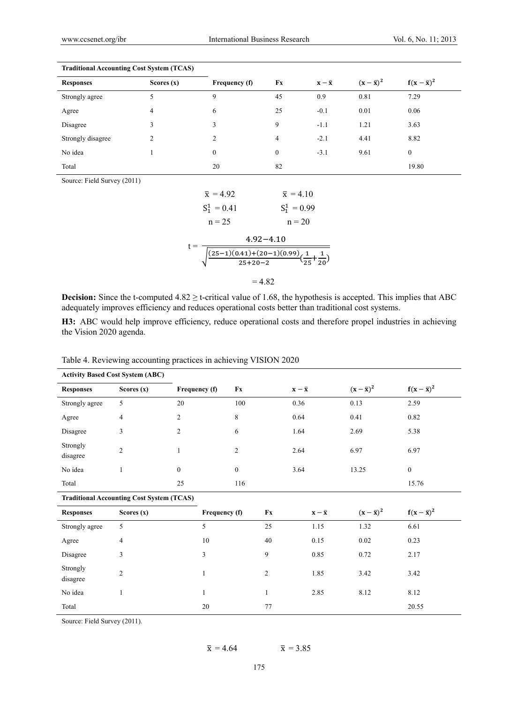| <b>Traditional Accounting Cost System (TCAS)</b> |              |                                                                       |                       |                     |                 |                  |  |
|--------------------------------------------------|--------------|-----------------------------------------------------------------------|-----------------------|---------------------|-----------------|------------------|--|
| <b>Responses</b>                                 | Scores $(x)$ | Frequency (f)                                                         | Fx                    | $\bar{x} - \bar{x}$ | $(x-\bar{x})^2$ | $f(x-\bar{x})^2$ |  |
| Strongly agree                                   | 5            | 9                                                                     | 45                    | 0.9                 | 0.81            | 7.29             |  |
| Agree                                            | 4            | 6                                                                     | 25                    | $-0.1$              | 0.01            | 0.06             |  |
| Disagree                                         | 3            | 3                                                                     | 9                     | $-1.1$              | 1.21            | 3.63             |  |
| Strongly disagree                                | 2            | 2                                                                     | $\overline{4}$        | $-2.1$              | 4.41            | 8.82             |  |
| No idea                                          | $\mathbf{1}$ | $\mathbf{0}$                                                          | $\boldsymbol{0}$      | $-3.1$              | 9.61            | $\mathbf{0}$     |  |
| Total                                            |              | 20                                                                    | 82                    |                     |                 | 19.80            |  |
| Source: Field Survey (2011)                      |              |                                                                       |                       |                     |                 |                  |  |
|                                                  |              | $\overline{x}$ = 4.92                                                 | $\overline{x} = 4.10$ |                     |                 |                  |  |
|                                                  |              | $S_1^1 = 0.41$                                                        | $S_1^1 = 0.99$        |                     |                 |                  |  |
|                                                  |              | $n = 25$                                                              | $n = 20$              |                     |                 |                  |  |
|                                                  |              | $4.92 - 4.10$                                                         |                       |                     |                 |                  |  |
|                                                  | $t =$        | $\frac{(25-1)(0.41)+(20-1)(0.99)}{25+20-2}(\frac{1}{25}+\frac{1}{20}$ |                       |                     |                 |                  |  |
|                                                  |              | $= 4.82$                                                              |                       |                     |                 |                  |  |

**Decision:** Since the t-computed  $4.82 \ge$  t-critical value of 1.68, the hypothesis is accepted. This implies that ABC adequately improves efficiency and reduces operational costs better than traditional cost systems.

**H3:** ABC would help improve efficiency, reduce operational costs and therefore propel industries in achieving the Vision 2020 agenda.

|  |  |  | Table 4. Reviewing accounting practices in achieving VISION 2020 |
|--|--|--|------------------------------------------------------------------|
|  |  |  |                                                                  |

| <b>Activity Based Cost System (ABC)</b> |                                                  |                |               |                  |    |                                 |                 |                  |
|-----------------------------------------|--------------------------------------------------|----------------|---------------|------------------|----|---------------------------------|-----------------|------------------|
| <b>Responses</b>                        | Scores $(x)$                                     |                | Frequency (f) | Fx               |    | $\mathbf{x} - \bar{\mathbf{x}}$ | $(x-\bar{x})^2$ | $f(x-\bar{x})^2$ |
| Strongly agree                          | 5                                                | 20             |               | 100              |    | 0.36                            | 0.13            | 2.59             |
| Agree                                   | 4                                                | $\overline{c}$ |               | 8                |    | 0.64                            | 0.41            | 0.82             |
| Disagree                                | 3                                                | $\overline{c}$ |               | 6                |    | 1.64                            | 2.69            | 5.38             |
| Strongly<br>disagree                    | $\mathfrak{2}$                                   | $\mathbf{1}$   |               | $\overline{c}$   |    | 2.64                            | 6.97            | 6.97             |
| No idea                                 | 1                                                | $\bf{0}$       |               | $\boldsymbol{0}$ |    | 3.64                            | 13.25           | $\boldsymbol{0}$ |
| Total                                   |                                                  | 25             |               | 116              |    |                                 |                 | 15.76            |
|                                         | <b>Traditional Accounting Cost System (TCAS)</b> |                |               |                  |    |                                 |                 |                  |
| <b>Responses</b>                        | Scores $(x)$                                     |                | Frequency (f) |                  | Fx | $\bar{x} - \bar{x}$             | $(x-\bar{x})^2$ | $f(x-\bar{x})^2$ |
| Strongly agree                          | 5                                                |                | 5             |                  | 25 | 1.15                            | 1.32            | 6.61             |
| Agree                                   | 4                                                |                | 10            |                  | 40 | 0.15                            | $0.02\,$        | 0.23             |
| Disagree                                | 3                                                |                | 3             |                  | 9  | 0.85                            | 0.72            | 2.17             |
| Strongly<br>disagree                    | $\overline{c}$                                   |                | $\mathbf{1}$  |                  | 2  | 1.85                            | 3.42            | 3.42             |
| No idea                                 | 1                                                |                | $\mathbf{1}$  |                  | 1  | 2.85                            | 8.12            | 8.12             |
| Total                                   |                                                  |                | 20            |                  | 77 |                                 |                 | 20.55            |

Source: Field Survey (2011).

 $\bar{x} = 4.64$   $\bar{x} = 3.85$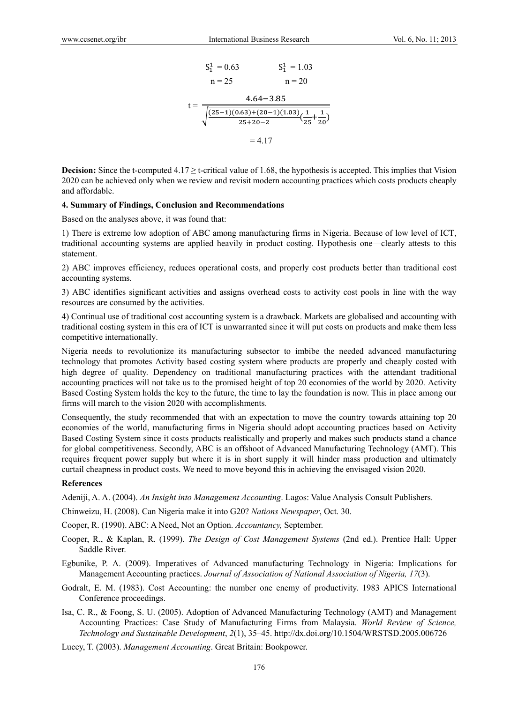$$
S_1^1 = 0.63
$$
  
\n
$$
S_1^1 = 1.03
$$
  
\n
$$
n = 25
$$
  
\n
$$
S_1^1 = 1.03
$$
  
\n
$$
n = 20
$$
  
\n
$$
4.64-3.85
$$
  
\n
$$
\sqrt{\frac{(25-1)(0.63)+(20-1)(1.03)}{25+20-2}(\frac{1}{25}+\frac{1}{20})}
$$
  
\n
$$
= 4.17
$$

**Decision:** Since the t-computed  $4.17 \geq t$ -critical value of 1.68, the hypothesis is accepted. This implies that Vision 2020 can be achieved only when we review and revisit modern accounting practices which costs products cheaply and affordable.

#### **4. Summary of Findings, Conclusion and Recommendations**

Based on the analyses above, it was found that:

1) There is extreme low adoption of ABC among manufacturing firms in Nigeria. Because of low level of ICT, traditional accounting systems are applied heavily in product costing. Hypothesis one—clearly attests to this statement.

2) ABC improves efficiency, reduces operational costs, and properly cost products better than traditional cost accounting systems.

3) ABC identifies significant activities and assigns overhead costs to activity cost pools in line with the way resources are consumed by the activities.

4) Continual use of traditional cost accounting system is a drawback. Markets are globalised and accounting with traditional costing system in this era of ICT is unwarranted since it will put costs on products and make them less competitive internationally.

Nigeria needs to revolutionize its manufacturing subsector to imbibe the needed advanced manufacturing technology that promotes Activity based costing system where products are properly and cheaply costed with high degree of quality. Dependency on traditional manufacturing practices with the attendant traditional accounting practices will not take us to the promised height of top 20 economies of the world by 2020. Activity Based Costing System holds the key to the future, the time to lay the foundation is now. This in place among our firms will march to the vision 2020 with accomplishments.

Consequently, the study recommended that with an expectation to move the country towards attaining top 20 economies of the world, manufacturing firms in Nigeria should adopt accounting practices based on Activity Based Costing System since it costs products realistically and properly and makes such products stand a chance for global competitiveness. Secondly, ABC is an offshoot of Advanced Manufacturing Technology (AMT). This requires frequent power supply but where it is in short supply it will hinder mass production and ultimately curtail cheapness in product costs. We need to move beyond this in achieving the envisaged vision 2020.

#### **References**

Adeniji, A. A. (2004). *An Insight into Management Accounting*. Lagos: Value Analysis Consult Publishers.

Chinweizu, H. (2008). Can Nigeria make it into G20? *Nations Newspaper*, Oct. 30.

Cooper, R. (1990). ABC: A Need, Not an Option. *Accountancy,* September.

- Cooper, R., & Kaplan, R. (1999). *The Design of Cost Management Systems* (2nd ed.). Prentice Hall: Upper Saddle River.
- Egbunike, P. A. (2009). Imperatives of Advanced manufacturing Technology in Nigeria: Implications for Management Accounting practices. *Journal of Association of National Association of Nigeria, 17*(3).
- Godralt, E. M. (1983). Cost Accounting: the number one enemy of productivity. 1983 APICS International Conference proceedings.
- Isa, C. R., & Foong, S. U. (2005). Adoption of Advanced Manufacturing Technology (AMT) and Management Accounting Practices: Case Study of Manufacturing Firms from Malaysia. *World Review of Science, Technology and Sustainable Development*, *2*(1), 35–45. http://dx.doi.org/10.1504/WRSTSD.2005.006726
- Lucey, T. (2003). *Management Accounting*. Great Britain: Bookpower.